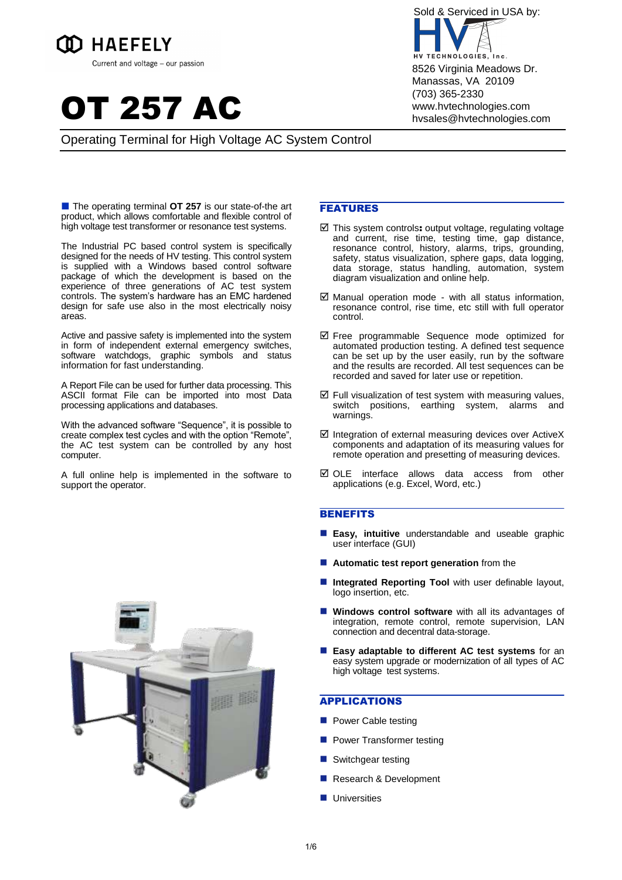





# Operating Terminal for High Voltage AC System Control

■ The operating terminal **OT 257** is our state-of-the art product, which allows comfortable and flexible control of high voltage test transformer or resonance test systems.

The Industrial PC based control system is specifically designed for the needs of HV testing. This control system is supplied with a Windows based control software package of which the development is based on the experience of three generations of AC test system controls. The system's hardware has an EMC hardened design for safe use also in the most electrically noisy areas.

Active and passive safety is implemented into the system in form of independent external emergency switches, software watchdogs, graphic symbols and status information for fast understanding.

A Report File can be used for further data processing. This ASCII format File can be imported into most Data processing applications and databases.

With the advanced software "Sequence", it is possible to create complex test cycles and with the option "Remote", the AC test system can be controlled by any host computer.

A full online help is implemented in the software to support the operator.

# FEATURES

- $\boxtimes$  This system controls: output voltage, regulating voltage and current, rise time, testing time, gap distance, resonance control, history, alarms, trips, grounding, safety, status visualization, sphere gaps, data logging, data storage, status handling, automation, system diagram visualization and online help.
- $\boxtimes$  Manual operation mode with all status information, resonance control, rise time, etc still with full operator control.
- Free programmable Sequence mode optimized for automated production testing. A defined test sequence can be set up by the user easily, run by the software and the results are recorded. All test sequences can be recorded and saved for later use or repetition.
- $\boxtimes$  Full visualization of test system with measuring values, switch positions, earthing system, alarms and warnings.
- $\boxtimes$  Integration of external measuring devices over ActiveX components and adaptation of its measuring values for remote operation and presetting of measuring devices.
- $\boxtimes$  OLE interface allows data access from other applications (e.g. Excel, Word, etc.)

#### **BENEFITS**

- **Easy, intuitive** understandable and useable graphic user interface (GUI)
- **Automatic test report generation** from the
- **Integrated Reporting Tool** with user definable layout, logo insertion, etc.
- **Windows control software** with all its advantages of integration, remote control, remote supervision, LAN connection and decentral data-storage.
- **Easy adaptable to different AC test systems** for an easy system upgrade or modernization of all types of AC high voltage test systems.

### APPLICATIONS

- **Power Cable testing**
- **Power Transformer testing**
- Switchgear testing
- Research & Development
- **Universities**

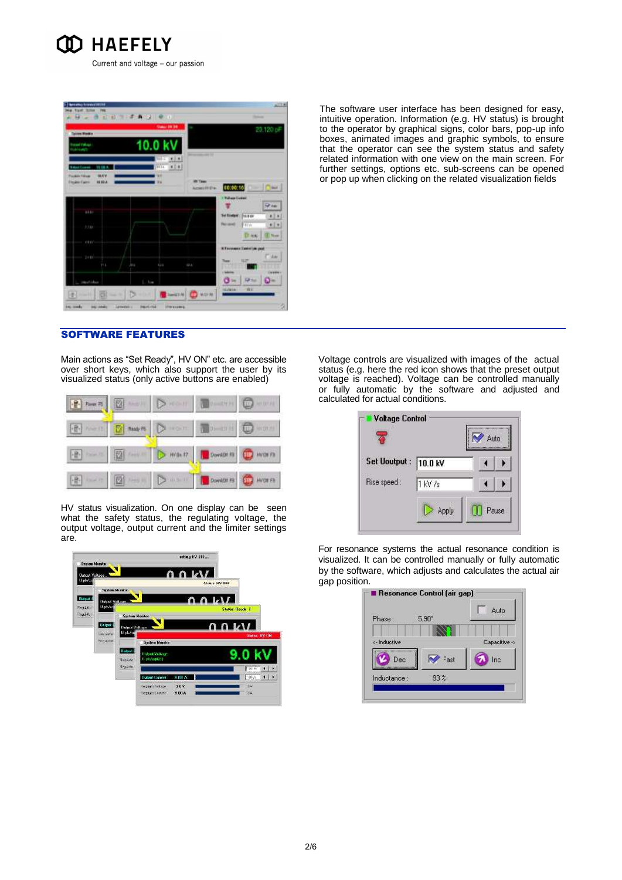

| <b>Tairon Works</b>                                                                                                       |               | <b>States: Mt 34</b>                                   |                                     |                                                                            | 20,120 pF                         |
|---------------------------------------------------------------------------------------------------------------------------|---------------|--------------------------------------------------------|-------------------------------------|----------------------------------------------------------------------------|-----------------------------------|
| <b>Seat Value</b><br><b>Galaxie</b>                                                                                       |               | 10.0 kV                                                | <b>Service Address</b>              |                                                                            |                                   |
| <b>VELK R</b><br><b>Balance Lugarett</b><br>19.574<br><b>Postale Value</b><br>HIGA<br><b><i><u>Physical Faces</u></i></b> |               | <b>TITLE</b><br>$(1 + 1)$<br>ilia.<br>40.63<br>w<br>W6 | <b>Wit Tigage</b><br>Acted (IVE) p. | 00:00:16                                                                   | <b>Time</b>                       |
| 4440                                                                                                                      |               |                                                        |                                     | · Refrage Europe<br><b>Sel Exchant</b><br><b>TA KAY</b>                    | <b>WAR</b><br>$11 +$              |
| 3,388<br>4860                                                                                                             |               |                                                        |                                     | <b>Fermal</b><br><b>FRITE</b><br>D' au<br>36 Keyspanning Standard Law good | $\cdot$ $\cdot$<br><b>IT Test</b> |
| $3 + 10$<br>111                                                                                                           | 38.9          | 42.8                                                   | <b>MA</b>                           | <b>SUP</b><br>ديدا<br>ю                                                    | 16m<br>Literature of              |
| metalan                                                                                                                   | <b>Signed</b> |                                                        |                                     | R<br><b>You</b><br>σ<br>m                                                  |                                   |

The software user interface has been designed for easy, intuitive operation. Information (e.g. HV status) is brought to the operator by graphical signs, color bars, pop-up info boxes, animated images and graphic symbols, to ensure that the operator can see the system status and safety related information with one view on the main screen. For further settings, options etc. sub-screens can be opened or pop up when clicking on the related visualization fields

# SOFTWARE FEATURES

Main actions as "Set Ready", HV ON" etc. are accessible over short keys, which also support the user by its visualized status (only active buttons are enabled)

HV status visualization. On one display can be seen what the safety status, the regulating voltage, the output voltage, output current and the limiter settings are.



Voltage controls are visualized with images of the actual status (e.g. here the red icon shows that the preset output voltage is reached). Voltage can be controlled manually or fully automatic by the software and adjusted and calculated for actual conditions.

| <b>Voltage Control</b> |         | Auto  |
|------------------------|---------|-------|
| Set Uoutput: 10.0 kV   |         |       |
| Rise speed:            | 1 kV /s |       |
|                        | Apply   | Pause |

For resonance systems the actual resonance condition is visualized. It can be controlled manually or fully automatic by the software, which adjusts and calculates the actual air gap position.

|              |                 | Auto          |
|--------------|-----------------|---------------|
| Phase:       | $5.90*$         |               |
|              |                 |               |
| <- Inductive |                 | Capacitive -> |
| Dec          | Fast            | Inc           |
| Inductance:  | 93 <sup>8</sup> |               |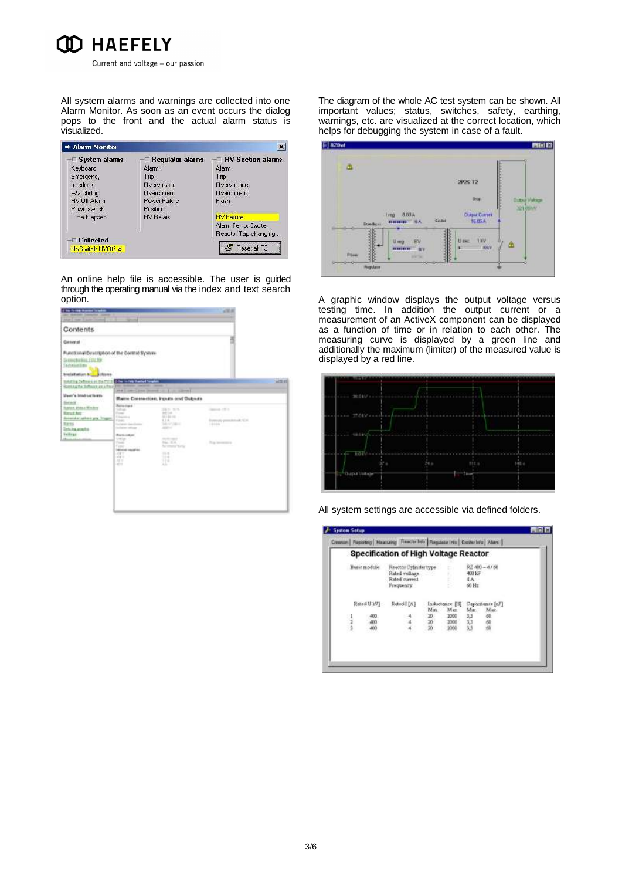

All system alarms and warnings are collected into one Alarm Monitor. As soon as an event occurs the dialog pops to the front and the actual alarm status is visualized.

| <b>System alarms</b> | <b>Regulator alarms</b> | <b>HV Section alarms</b> |
|----------------------|-------------------------|--------------------------|
| Keyboard             | Alarm                   | Alarm                    |
| Emergency            | Trip                    | Trip                     |
| Interlock            | Overvoltage             | Overvoltage              |
| Watchdog             | <b>Overcurrent</b>      | <b>Overcurrent</b>       |
| HV Off Alann         | Puwer Failu e           | Flash                    |
| Powerswitch          | Position                |                          |
| <b>Time Elapsed</b>  | <b>HV Relais</b>        | <b>HV Failure</b>        |
|                      |                         | Alarm Temp. Exciter      |
|                      |                         | Reactor Tap changing     |
| <b>Collected</b>     |                         |                          |

An online help file is accessible. The user is guided through the operating manual via the index and text search option.

| <b>The Forest Bras</b><br>med listador<br>the families booking thank                                                                                     |                                                                                                                     |                                                                                                   | $-32.8$                                                       |
|----------------------------------------------------------------------------------------------------------------------------------------------------------|---------------------------------------------------------------------------------------------------------------------|---------------------------------------------------------------------------------------------------|---------------------------------------------------------------|
| Mar I Hally T Justice Charles                                                                                                                            |                                                                                                                     |                                                                                                   |                                                               |
| Contents                                                                                                                                                 |                                                                                                                     |                                                                                                   |                                                               |
| General 1                                                                                                                                                |                                                                                                                     |                                                                                                   |                                                               |
| Functional Description of the Control System<br>Samuahirings Ethe fre-<br>Tachinettas<br><b>Installation NC</b><br><b>J</b> riturns                      |                                                                                                                     |                                                                                                   |                                                               |
| metric befores as the FILE<br>Rominia the Sufferinte are a Frank TIME                                                                                    | <b>Citize Locale Station Tox</b><br><b>STATISTICS</b>                                                               | -                                                                                                 | $-25 - 41$                                                    |
| User's Instructions<br><b>Sales at</b><br><b>Special Middle Window</b><br><b>Read hot</b><br>Severalar take is and Trigger<br>Eggs<br>Detains available. | 394                                                                                                                 | Mains Commetton, Inputs and Outputs.                                                              |                                                               |
|                                                                                                                                                          | Renaultant<br><b>SALES</b><br>Pone<br>England of<br>Forest.<br>Trailed at 1 days<br>Includes Indiana                | DES NOS<br><b>REGISTER</b><br>Mich & Bank Heads<br>6.3 %<br>SAVANA C<br>and of                    | Canada (IC)<br>57.275<br>Torrestly presidented SCA.<br>THREE. |
| <b>Tellings</b><br><b>House of L</b>                                                                                                                     | Russian<br><b>Union</b><br><b>Though</b><br>Firm 1.<br>between marketing<br>ASK Y<br><b>HAVE</b><br>$-111$<br>at 15 | <b>SCIENCES</b><br><b>Signal Street</b><br><b>Balcomedia Teacher</b><br>$100 - 100$<br>114<br>114 | This immediate                                                |
|                                                                                                                                                          | n a                                                                                                                 |                                                                                                   |                                                               |

The diagram of the whole AC test system can be shown. All important values; status, switches, safety, earthing, warnings, etc. are visualized at the correct location, which helps for debugging the system in case of a fault.

|                 |                                                        | 2P25 T2                      |                       |
|-----------------|--------------------------------------------------------|------------------------------|-----------------------|
|                 |                                                        | m                            | <b>Dutsur Wikiped</b> |
| <b>Boothpic</b> | $treq = 883A$<br>.<br>Ekilor<br><b><i>BEREFERE</i></b> | <b>Output Current</b><br>恒压头 | <b>SPT BELV</b>       |
|                 | U ma                                                   | U exc<br>40                  |                       |
|                 |                                                        |                              |                       |

A graphic window displays the output voltage versus testing time. In addition the output current or a measurement of an ActiveX component can be displayed as a function of time or in relation to each other. The measuring curve is displayed by a green line and additionally the maximum (limiter) of the measured value is displayed by a red line.



All system settings are accessible via defined folders.

|               |              | <b>Specification of High Voltage Reactor</b>                          |           |                         |                         |                          |
|---------------|--------------|-----------------------------------------------------------------------|-----------|-------------------------|-------------------------|--------------------------|
|               | Basic module | Reactor Cylinder type<br>Rated voltage<br>Reted current<br>Frequency. |           | b.<br>67<br>Ë.          | 400 1/3<br>4 A<br>60 Hz | 82 400 - 41 60           |
|               | Reard U MV1  | Rated [[A]                                                            | Mm.       | Instactance [B]<br>Man. | Min.                    | Capacitante [nF]<br>Mac. |
| $\frac{1}{2}$ | 400<br>400   |                                                                       | 20:<br>20 | 2000<br>2000            | 3,3<br>33               | 60<br>怨                  |
|               | 400          |                                                                       | 20        | 2000                    | 33                      |                          |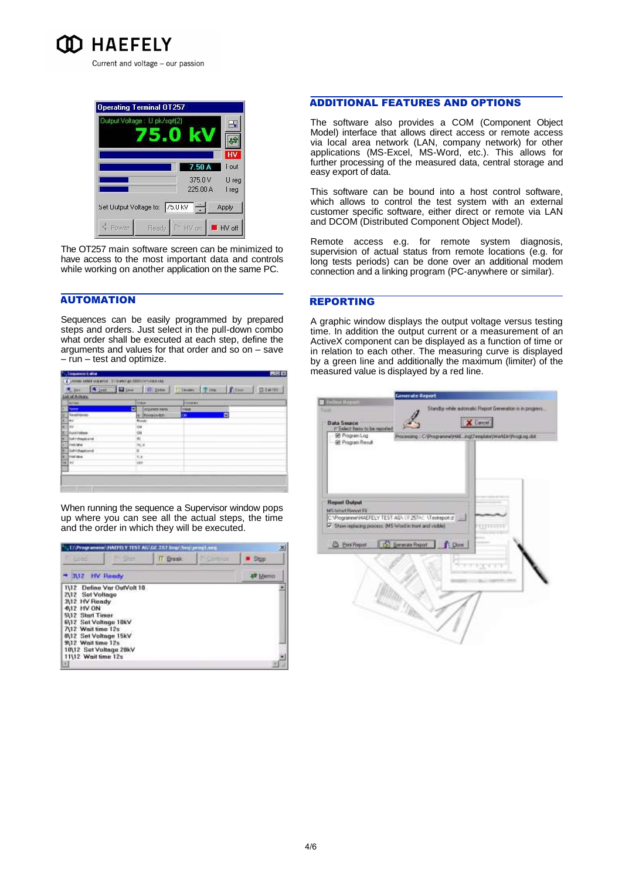



The OT257 main software screen can be minimized to have access to the most important data and controls while working on another application on the same PC.

# **AUTOMATION**

Sequences can be easily programmed by prepared steps and orders. Just select in the pull-down combo what order shall be executed at each step, define the arguments and values for that order and so on – save – run – test and optimize.

| List of Askers         |                              |                   |   |  |
|------------------------|------------------------------|-------------------|---|--|
| <b>Sures</b>           | <b>Ariston</b>               | <b>Sopress</b>    |   |  |
|                        | Ξ<br><b>EMISSINITE THANK</b> | 1944              |   |  |
| <b>Continue</b>        | 1 Pennsylon                  | <b>OF</b>         | Е |  |
| بستر                   | 8.23                         | <b>STATISTICS</b> |   |  |
| ₿w                     |                              |                   |   |  |
| 困<br>BAUGVIORMI        |                              |                   |   |  |
| <b>N. Surritualant</b> |                              |                   |   |  |
| <b>BITER-NOC SERVE</b> | $\pi_i$ ii                   |                   |   |  |
| Selvitage and          | $8 -$                        |                   |   |  |
| <b>BANETINA</b>        | tié<br>m                     |                   |   |  |
| ∄÷⊭                    | UH                           |                   |   |  |

When running the sequence a Supervisor window pops up where you can see all the actual steps, the time and the order in which they will be executed.



### ADDITIONAL FEATURES AND OPTIONS

The software also provides a COM (Component Object Model) interface that allows direct access or remote access via local area network (LAN, company network) for other applications (MS-Excel, MS-Word, etc.). This allows for further processing of the measured data, central storage and easy export of data.

This software can be bound into a host control software, which allows to control the test system with an external customer specific software, either direct or remote via LAN and DCOM (Distributed Component Object Model).

Remote access e.g. for remote system diagnosis, supervision of actual status from remote locations (e.g. for long tests periods) can be done over an additional modem connection and a linking program (PC-anywhere or similar).

### REPORTING

A graphic window displays the output voltage versus testing time. In addition the output current or a measurement of an ActiveX component can be displayed as a function of time or in relation to each other. The measuring curve is displayed by a green line and additionally the maximum (limiter) of the measured value is displayed by a red line.

| E Program Log<br><b>BE Program Result</b>    | 7- Select harm to be reported                                                                                         | X Cancel<br>Processing: C:(Programme/HAE_ing)Template/Worldlin/Prograg.dot |  |
|----------------------------------------------|-----------------------------------------------------------------------------------------------------------------------|----------------------------------------------------------------------------|--|
|                                              |                                                                                                                       |                                                                            |  |
| <b>Report Dutput</b><br>MC/o/ro/CReevet Fill |                                                                                                                       |                                                                            |  |
|                                              | C:\Programme\HAEFELY TEST.AG\ (/ 257AC \Textreport.d ) __<br>IV Show replacing process. DIS Word in hord and visible? | 100111111                                                                  |  |
| <b>B</b> Print Report                        | C Emmate Report Clone                                                                                                 | $T: T: T \to T \to T$                                                      |  |
|                                              |                                                                                                                       |                                                                            |  |
|                                              |                                                                                                                       |                                                                            |  |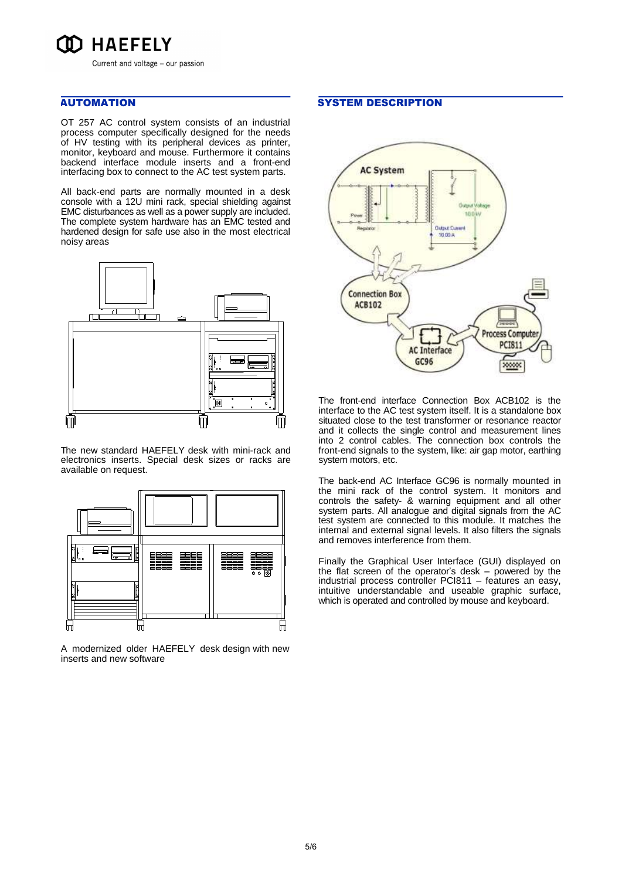

# AUTOMATION

OT 257 AC control system consists of an industrial process computer specifically designed for the needs of HV testing with its peripheral devices as printer, monitor, keyboard and mouse. Furthermore it contains backend interface module inserts and a front-end interfacing box to connect to the AC test system parts.

All back-end parts are normally mounted in a desk console with a 12U mini rack, special shielding against EMC disturbances as well as a power supply are included. The complete system hardware has an EMC tested and hardened design for safe use also in the most electrical noisy areas



The new standard HAEFELY desk with mini-rack and electronics inserts. Special desk sizes or racks are available on request.



A modernized older HAEFELY desk design with new inserts and new software

### SYSTEM DESCRIPTION



The front-end interface Connection Box ACB102 is the interface to the AC test system itself. It is a standalone box situated close to the test transformer or resonance reactor and it collects the single control and measurement lines into 2 control cables. The connection box controls the front-end signals to the system, like: air gap motor, earthing system motors, etc.

The back-end AC Interface GC96 is normally mounted in the mini rack of the control system. It monitors and controls the safety- & warning equipment and all other system parts. All analogue and digital signals from the AC test system are connected to this module. It matches the internal and external signal levels. It also filters the signals and removes interference from them.

Finally the Graphical User Interface (GUI) displayed on the flat screen of the operator's desk – powered by the industrial process controller PCI811 – features an easy, intuitive understandable and useable graphic surface, which is operated and controlled by mouse and keyboard.